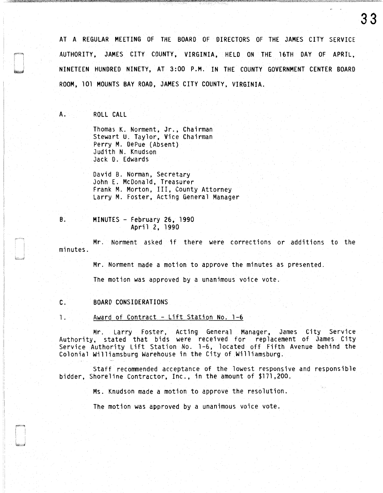AT A REGULAR MEETING OF THE BOARD OF DIRECTORS OF THE JAMES CITY SERVICE AUTHORITY, JAMES CITY COUNTY, VIRGINIA, HELO ON THE 16TH DAY OF APRIL, NINETEEN HUNDRED NINETY, AT 3:00 P.M. IN THE COUNTY GOVERNMENT CENTER BOARD ROOM, 101 MOUNTS BAY ROAD, JAMES CITY COUNTY, VIRGINIA.

A. ROLL CALL

Thomas K. Norment, Jr., Chairman Stewart U. Taylor, Vice Chairman Perry M. OePue (Absent) Judith N. Knudson Jack 0. Edwards

David B. Norman, Secretary John E. McDonald, Treasurer Frank M. Morton, III, County Attorney Larry M. Foster, Acting General Manager

B. MINUTES - February 26, 1990 April 2, 1990

Mr. Norment asked if there were corrections or additions to the minutes.

Mr. Norment made a motion to approve the minutes as presented.

The motion was approved by a unanimous voice vote.

C. BOARD CONSIDERATIONS

1. Award of Contract - Lift Station No. 1-6

Mr. Larry Foster, Acting General Manager, James City Service Authority, stated that bids were received for replacement of James City Service Authority Lift Station No. 1-6, located off Fifth Avenue behind the Colonial Williamsburg Warehouse in the City of Williamsburg.

Staff recommended acceptance of the lowest responsive and responsible bidder, Shoreline Contractor, Inc., in the amount of \$171,200.

Ms. Knudson made a motion to approve the resolution.

The motion was approved by a unanimous voice vote.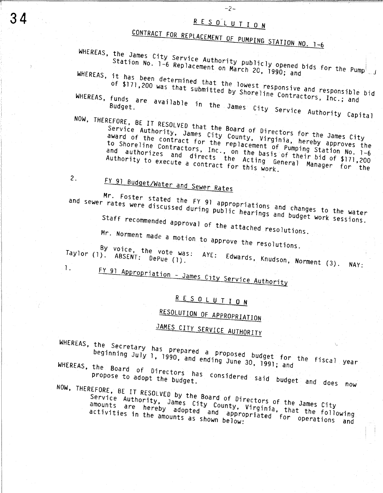### RESOLUTION

 $-2-$ 

# CONTRACT FOR REPLACEMENT OF PUMPING STATION NO. 1-6

WHEREAS, the James City Service Authority publicly opened bids for the Pump Station No. 1-6 Replacement on March 20, 1990; and

WHEREAS, it has been determined that the lowest responsive and responsible bid

of \$171,200 was that submitted by Shoreline Contractors, Inc.; and WHEREAS, funds are available in the James City Service Authority Capital

NOW, THEREFORE, BE IT RESOLVED that the Board of Directors for the James City Service Authority, James City County, Virginia, hereby approves the award of the contract for the replacement of Pumping Station No. 1-6 to Shoreline Contractors, Inc., on the basis of their bid of \$171,200 and authorizes and directs the Acting General Manager for the Authority to execute a contract for this work.

 $2.$ 

FY 91 Budget/Water and Sewer Rates

Mr. Foster stated the FY 91 appropriations and changes to the water and sewer rates were discussed during public hearings and budget work sessions.

Staff recommended approval of the attached resolutions.

Mr. Norment made a motion to approve the resolutions.

By voice, the vote was: AYE: Edwards, Knudson, Norment (3). NAY: Taylor (1). ABSENT: DePue (1).

1.

FY 91 Appropriation - James City Service Authority

### RESOLUTION

### RESOLUTION OF APPROPRIATION

## JAMES CITY SERVICE AUTHORITY

WHEREAS, the Secretary has prepared a proposed budget for the fiscal year beginning July 1, 1990, and ending June 30, 1991; and WHEREAS, the Board of Directors has considered said budget and does now

NOW, THEREFORE, BE IT RESOLVED by the Board of Directors of the James City

Service Authority, James City County, Virginia, that the following amounts are hereby adopted and appropriated for operations and

34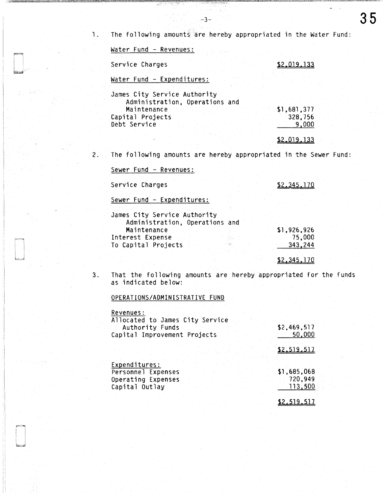$-3-$ 

| Water Fund - Revenues:                                           |                  |
|------------------------------------------------------------------|------------------|
| Service Charges                                                  | \$2.019.133      |
| Water Fund - Expenditures:                                       |                  |
| James City Service Authority<br>Administration, Operations and   |                  |
| Maintenance                                                      | \$1,681,377      |
| Capital Projects<br>Debt Service                                 | 328,756<br>9,000 |
|                                                                  | \$2.019.133      |
| The following amounts are hereby appropriated in the Sewer Fund: |                  |
| Sewer Fund - Revenues:                                           |                  |
| Service Charges                                                  | \$2.345.170      |
| Sewer Fund - Expenditures:                                       |                  |
|                                                                  |                  |

| James City Service Authority   |             |
|--------------------------------|-------------|
| Administration, Operations and |             |
| Maintenance                    | \$1,926,926 |
| Interest Expense               | 75,000      |
| To Capital Projects            | 343.244     |
|                                |             |

\$2,345,170

35

3. That the following amounts are hereby appropriated for the funds as indicated below:

### OPERATIONS/ADMINISTRATIVE FUND

| Allocated to James City Service<br>Authority Funds<br>Capital Improvement Projects | \$2,469,517<br>50,000 |
|------------------------------------------------------------------------------------|-----------------------|
|                                                                                    | S2 519 517            |
| Expenditures:                                                                      |                       |
| Personnel Expenses                                                                 | \$1,685,068           |
| Operating Expenses                                                                 | 720,949               |
| Capital Outlay                                                                     | 113,500               |
|                                                                                    |                       |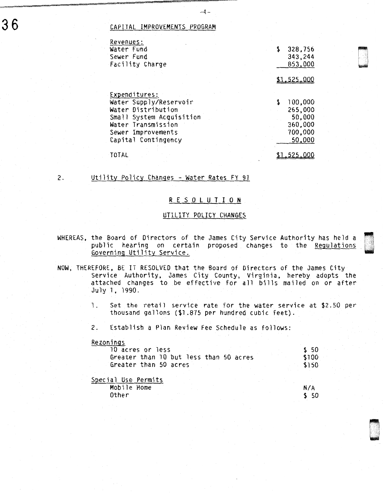#### CAPITAL IMPROVEMENTS PROGRAM

| Revenues:                |               |
|--------------------------|---------------|
| Water Fund               | \$<br>328,756 |
| Sewer Fund               | 343,244       |
| Facility Charge          | 853,000       |
|                          |               |
|                          | \$1.525.000   |
|                          |               |
| Expenditures:            |               |
| Water Supply/Reservoir   | 100,000       |
| Water Distribution       | 265,000       |
| Small System Acquisition | 50,000        |
| Water Transmission       | 360,000       |
| Sewer Improvements       | 700,000       |
| Capital Contingency      | 50,000        |
|                          |               |
| TOTAL                    |               |
|                          |               |

 $-4-$ 

#### 2. Utility Policy Changes - Water Rates FY 91

#### R E S 0 l U T I 0 N

#### UTILITY POLICY CHANGES

- WHEREAS, the Board of Directors of the James City Service Authority has held a public hearing on certain proposed changes to the Regulations Governing Utility Service.
- NOW, THEREFORE, BE IT RESOLVED that the Board of Directors of the James City Service Authority, James City County, Virginia, hereby adopts the attached changes to be effective for all bills mailed on or after July 1, 1990.
	- 1. Set the retail service rate for the water service at \$2.50 per thousand gallons (\$1 .875 per hundred cubic feet).
	- 2. Establish a Plan Review Fee Schedule as follows:

#### Rezonings

| 10 acres or less                       |  |  |  |  | \$ 50 |
|----------------------------------------|--|--|--|--|-------|
| Greater than 10 but less than 50 acres |  |  |  |  | \$100 |
| Greater than 50 acres                  |  |  |  |  | \$150 |

| Special Use Permits |  |  |  |       |
|---------------------|--|--|--|-------|
| Mobile Home         |  |  |  | N/A   |
| Other               |  |  |  | \$ 50 |



~

LJ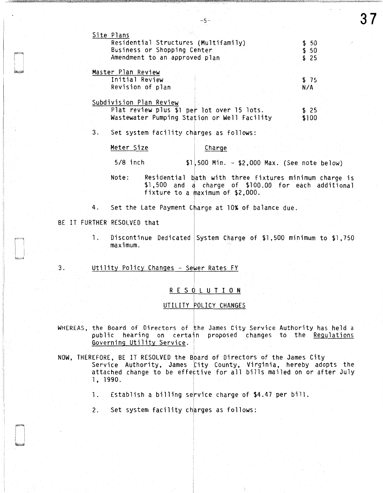|    | Site Plans<br>Residential Structures (Multifamily)<br>Business or Shopping Center<br>Amendment to an approved plan                                          | \$50<br>\$.50<br>\$25 |
|----|-------------------------------------------------------------------------------------------------------------------------------------------------------------|-----------------------|
|    | Master Plan Review                                                                                                                                          |                       |
|    | Initial Review                                                                                                                                              | \$75                  |
|    | Revision of plan                                                                                                                                            | N/A                   |
|    | Subdivision Plan Review                                                                                                                                     |                       |
|    | Plat review plus \$1 per lot over 15 lots.                                                                                                                  | \$25                  |
|    | Wastewater Pumping Station or Well Facility                                                                                                                 | \$100                 |
| 3. | Set system facility charges as follows:                                                                                                                     |                       |
|    | Meter Size<br>Charge                                                                                                                                        |                       |
|    | $5/8$ inch<br>$$1,500$ Min. - $$2,000$ Max. (See note below)                                                                                                |                       |
|    | Residential bath with three fixtures minimum charge is<br>Note:<br>\$1,500 and a charge of \$100.00 for each additional<br>fixture to a maximum of \$2,000. |                       |
|    | 4. Set the Late Payment Charge at 10% of balance due.                                                                                                       |                       |

#### BE IT FURTHER RESOLVED that

1. Discontinue Dedicated System Charge of \$1,500 minimum to \$1, 750 maximum.

3. Utility Policy Changes - Sewer Rates FY

#### R E S 0 L U T I 0 N

#### UTILITY POLICY CHANGES

- WHEREAS, the Board of Directors of the James City Service Authority has held a public hearing on certain proposed changes to the Regulations Governing Utility Service.
- NOW, THEREFORE, BE IT RESOLVED the Bbard of Directors of the James City Service Authority, James City County, Virginia, hereby adopts the attached change to be effective for all bills mailed on or after July 1, 1990.
	- 1. Establish a billing service charge of \$4.47 per bill.
	- 2. Set system facility charges as follows:

-5-

37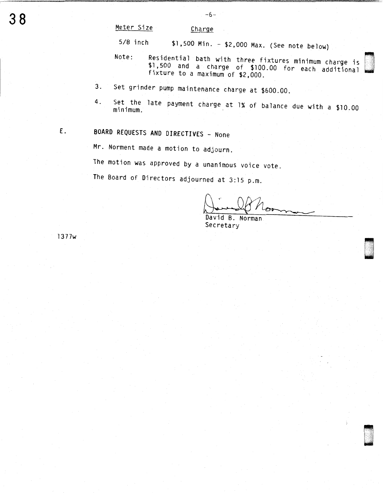Meter Size Charge

5/8 inch \$1 ,500 Min. - \$2,000 Max. (See note below)

- Note: Residential bath with three fixtures minimum charge is \$1,500 and a charge of \$100.00 for each additional fixture to a maximum of \$2,000.
- 3. Set grinder pump maintenance charge at \$600.00.
- 4. Set the late payment charge at 1% of balance due with a \$10.00 minimum.
- E. BOARD REQUESTS ANO DIRECTIVES None

Mr. Norment made a motion to adjourn.

The motion was approved by a unanimous voice vote.

The Board of Directors adjourned at 3:15 p.m.

- None<br>adjourn.<br>unanimous voice vote.<br>ned at 3:15 p.m.<br> $\sqrt{\frac{1}{100}}$  Monderly Monderly Monderly Monderly Monderly

.

(] . . .

Secretary l 377w u ...  $\mathcal{L} = \frac{1}{2}$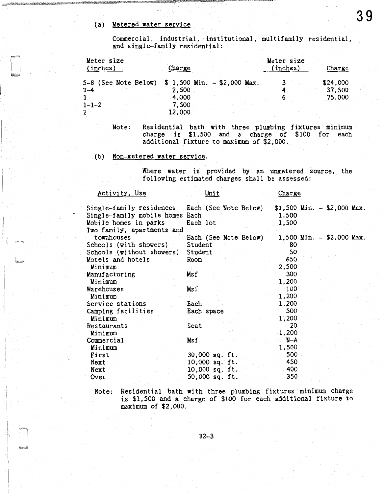#### (a) Metered water service

Commercial, industrial, institutional, multifamily residential, and single-family residential:

| Meter size<br>(inches)                            | Charge          | Meter size<br>(inches) | Charge           |
|---------------------------------------------------|-----------------|------------------------|------------------|
| 5-8 (See Note Below) \$ 1,500 Min. - \$2,000 Max. |                 |                        | \$24,000         |
| $3 - 4$                                           | 2,500<br>4,000  |                        | 37,500<br>75,000 |
| $1 - 1 - 2$<br>2                                  | 7.500<br>12,000 |                        |                  |

Note: Residential bath with three plumbing fixtures minimum charge is \$1,500 and a charge of \$100 for each additional fixture to maximum of \$2,000.

(b) Non-metered water service.

Where water is provided by an unmetered source, the following estimated charges shall be assessed:

| Activity, Use                                  | <u>Unit</u>           | Charge                         |                           |
|------------------------------------------------|-----------------------|--------------------------------|---------------------------|
| Single-family residences Each (See Note Below) |                       | $$1,500$ Min. $-$ \$2,000 Max. |                           |
| Single-family mobile homes Each                |                       | 1,500                          |                           |
| Mobile homes in parks                          | Each lot              | 1,500                          |                           |
| Two family, apartments and                     |                       |                                |                           |
| townhouses                                     | Each (See Note Below) |                                | 1,500 Min. - \$2,000 Max. |
| Schools (with showers)                         | Student               | 80                             |                           |
| Schools (without showers)                      | Student               | 50                             |                           |
| Motels and hotels                              | Room                  | 650                            |                           |
| Minimum                                        |                       | 2,500                          |                           |
| Manufacturing                                  | Msf                   | 300                            |                           |
| Minimum                                        |                       | 1,200                          |                           |
| Warehouses                                     | Msf                   | 100                            |                           |
| Minimum                                        |                       | 1,200                          |                           |
| Service stations                               | Each                  | 1,200                          |                           |
| Camping facilities                             | Each space            | 500                            |                           |
| Minimum                                        |                       | 1,200                          |                           |
| Restaurants                                    | Seat                  | 20                             |                           |
| Minimum                                        |                       | 1,200                          |                           |
| Commercial                                     | Msf                   | N-A                            |                           |
| Minimum                                        |                       | 1,500                          |                           |
| First                                          | 30,000 sq. ft.        | 500                            |                           |
| Next                                           | 10,000 sq. ft.        | 450                            |                           |
| Next                                           | 10,000 sq. ft.        | 400                            |                           |
| Over                                           | 50,000 sq. ft.        | 350                            |                           |
|                                                |                       |                                |                           |

Note: Residential bath with three plumbing fixtures minimum charge is \$1,500 and a charge of \$100 for each additional fixture to maximum of \$2,000.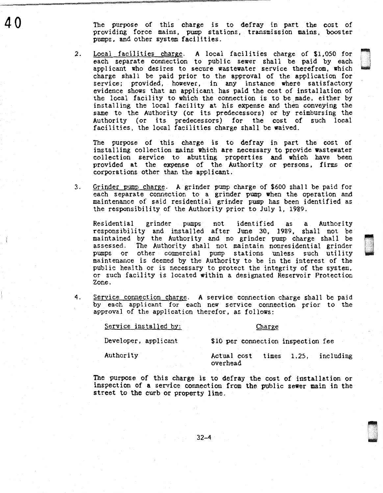The purpose of this charge is to defray in part the cost of providing force mains, pump stations, transmission mains, booster pumps, and other system facilities.

2. Local facilities charge. A local facilities charge of \$1,050 for each separate connection to public sewer shall be paid by each applicant who desires to secure wastewater service therefrom, which charge shall be paid prior to the approval of the application for service; provided, however, in any instance where satisfactory evidence shows that an applicant has paid the cost of installation of the local facility to which the connection is to be made, either by installing the local facility at his expense and then conveying the same to the Authority (or its predecessors) or by reimbursing the Authority (or its predecessors) for the cost of such local facilities, the local facilities charge shall be waived.

The purpose of this charge is to defray in part the cost of installing collection mains which are necessary to provide wastewater collection service to abutting properties and which have been provided at the expense of the Authority or persons, firms or corporations other than the applicant.

3. Grinder pump charge. A grinder pump charge of \$600 shall be paid for each separate connection to a grinder pump when the operation and maintenance of said residential grinder pump has been identified as the responsibility of the Authority prior to July l, 1989.

Residential grinder pumps not identified as a Authority responsibility and installed after June 30, 1989, shall not be maintained by the Authority and no grinder pump charge shall be assessed. The Authority shall not maintain nonresidential grinder pumps or other commercial pump stations unless such utility maintenance is deemed by the Authority to be in the interest of the public health or is necessary to protect the integrity of the system, or such facility is located within a designated Reservoir Protection Zone.

4. Service connection charge. A service connection charge shall be paid by each applicant for each new service connection prior to the approval of the application therefor, as follows:

Service installed by:

#### **Charge**

Developer, applicant

\$10 per connection inspection fee

Authority

40

Actual cost times 1.25, including overhead

The purpose of this charge is to defray the cost of installation or inspection of a service connection from the public sewer main in the street to the curb or property line.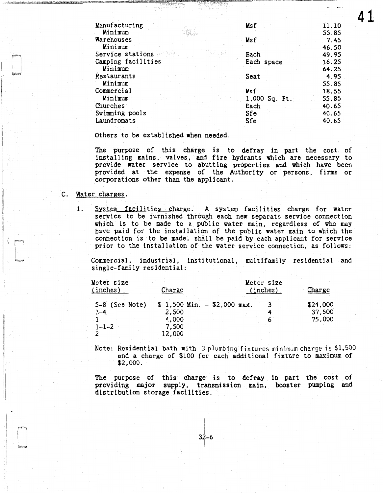| Manufacturing      | Msf           | 11.10 |
|--------------------|---------------|-------|
| Minimum            |               | 55.85 |
| Warehouses         | Msf           | 7.45  |
| Minimum            |               | 46.50 |
| Service stations   | Each          | 49.95 |
| Camping facilities | Each space    | 16.25 |
| Minimum            |               | 64.25 |
| <b>Restaurants</b> | Seat          | 4.95  |
| Minimum            |               | 55.85 |
| Commercial         | Msf           | 18.55 |
| Minimum            | 1,000 Sq. Ft. | 55.85 |
| Churches           | Each          | 40.65 |
| Swimming pools     | Sfe           | 40.65 |
| Laundromats        | Sfe           | 40.65 |

41

Others to be established when needed.

The purpose of this charge is to defray in part the cost of installing mains, valves, and fire hydrants which are necessary to provide water service to abutting properties and which have been provided at the expense of the Authority or persons, firms or corporations other than the applicant.

#### C. Water charges.

1. System facilities charge. A system facilities charge for water service to be furnished through each new separate service connection which is to be made to a public water main, regardless of who may have paid for the installation of the public water main to which the connection is to be made, shall be paid by each applicant for service prior to the installation of the water service connection, as follows:

Commercial, industrial, institutional, multifamily residential and single-family residential:

| Meter size<br>(inches)      | Charge                                 | Meter size<br>(inches) | Charge             |
|-----------------------------|----------------------------------------|------------------------|--------------------|
| $5-8$ (See Note)<br>$3 - 4$ | $$1,500$ Min. - $$2,000$ max.<br>2,500 |                        | \$24,000<br>37,500 |
| $1 - 1 - 2$                 | 4,000<br>7,500<br>12,000               |                        | 75,000             |

Note: Residential bath with 3 plumbing fixtures minimum charge is \$1,500 and a charge of \$100 for each additional fixture to maximum of \$2,000.

The purpose of this charge is to defray in part the cost of providing major supply, transmission main, booster pumping and distribution storage facilities.

> $32 - 6$ I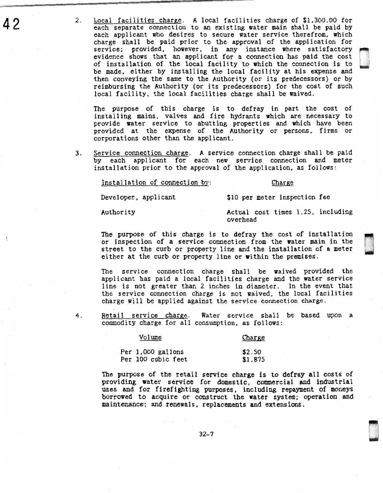42 2. Local facilities charge. A local facilities charge of \$1,300.00 for each separate connection to an existing water main shall be paid by each applicant who desires to secure water service therefrom, which charge shall be paid prior to the approval of the application for each applicant who desires to secure water service therefrom, which<br>charge shall be paid prior to the approval of the application for<br>service; provided, however, in any instance where satisfactory<br>evidence shows that an ap of installation of the local facility to which the connection is to be made, either by installing the local facility at his expense and then conveying the same to the Authority (or its predecessors) or by reimbursing the Authority (or its predecessors) for the cost of such local facility, the local facilities charge shall be waived.

> The purpose of this charge is to defray in part the cost of installing mains, valves and fire hydrants which are necessary to provide water service to abutting properties and which have been provided at the expense of the Authority or persons, firms or corporations other than the applicant.

3. Service connection charge. A service connection charge shall be paid by each applicant for each new service connection and meter installation prior to the approval of the application, as follows:

Installation of connection by:

#### Charge

Developer, applicant

\$10 per meter inspection fee

Authority

Actual cost times 1.25, including overhead

.

The purpose of this charge is to defray the cost of installation or inspection of a service connection from the water main in the street to the curb or property line and the installation of a meter either at the curb or pr or inspection of a service connection from the water main in the street to the curb or property line and the installation of a meter<br>either at the curb or property line or within the premises.

The service connection charge shall be waived provided the applicant has paid a local facilities charge and the water service 1 ine is not greater than 2 inches in diameter. In the event that the service connection charge is not waived, the local facilities charge will be applied against the service connection charge.

4. Retail service charge. Water service shall be based upon a commodity charge for all consumption, as follows:

| Volume                                  | Charge            |
|-----------------------------------------|-------------------|
| Per 1,000 gallons<br>Per 100 cubic feet | \$2.50<br>\$1.875 |

The purpose of the retail service charge is to defray all costs of providing water service for domestic, commercial and industrial uses and for firefighting purposes, including repayment of moneys borrowed to acquire or construct the water system; operation and maintenance; and renewals, replacements and extensions.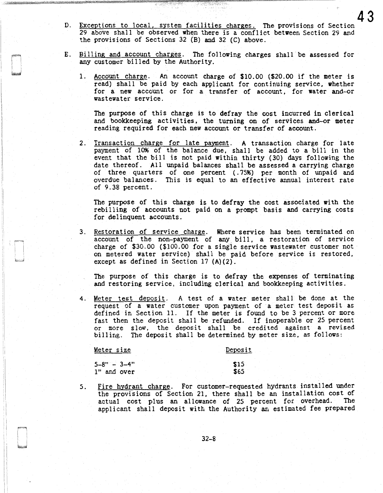D. Exceptions to local, system facilities charges. The provisions of Section 29 above shall be observed when there is a conflict between Section 29 and the provisions of Sections 32 (B) and 32 (C) above.

43

- E. Billing and account charges. The following charges shall be assessed for any customer billed by the Authority.
	- 1. Account charge. An account charge of \$10.00 (\$20.00 if the meter is read) shall be paid by each applicant for continuing service, whether for a new account or for a transfer of account, for water and-or wastewater service.

The purpose of this charge is to defray the cost incurred in clerical and bookkeeping activities, the turning on of services and-or meter reading required for each new account or transfer of account.

2. Transaction charge for late payment. A transaction charge for late payment of 10% of the balance due, shall be added to a bill in the event that the bill is not paid within thirty (30) days following the date thereof. All unpaid balances shall be assessed a carrying charge of three quarters of one percent (. 7596) per month of unpaid and overdue balances. This is equal to an effective annual interest rate of 9.38 percent.

The purpose of this charge is to defray the cost associated with the rebilling of accounts not paid on a prompt basis and carrying costs for delinquent accounts.

3. Restoration of service charge. Where service has been terminated on account of the non-payment of any bill, a restoration of service charge of \$30.00 (\$100.00 for a single service wastewater customer not on metered water service) shall be paid before service is restored, except as defined in Section 17 (A)(2).

The purpose of this charge is to defray the expenses of terminating and restoring service, including clerical and bookkeeping activities.

4. Meter test deposit. A test of a water meter shall be done at the request of a water customer upon payment of a meter test deposit as defined in Section 11. If the meter is found to be 3 percent or more fast then the deposit shall be refunded. If inoperable or 25 percent or more slow. the deposit shall be credited against a revised billing. The deposit shall be determined by meter size, as follows:

Meter size  $5-8" - 3-4"$ 1" and over Deposit \$15 \$65

5. Fire hydrant charge. For customer-requested hydrants installed under the provisions of Section 21, there shall be an installation cost of actual cost plus an allowance of 25 percent for overhead. The actual cost plus an allowance of 25 percent for overhead. applicant shall deposit with the Authority an estimated fee prepared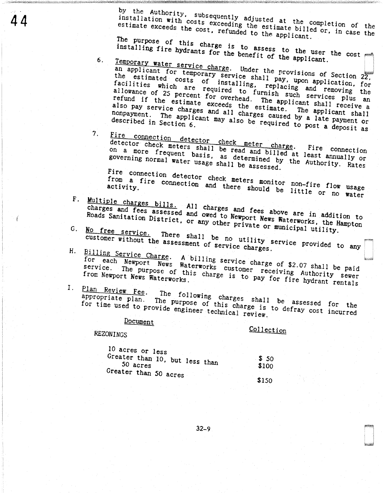by the Authority, subsequently adjusted at the completion of the

installation with costs exceeding the estimate billed or, in case the estimate exceeds the cost, refunded to the applicant.

The purpose of this charge is to assess to the user the cost installing fire hydrants for the benefit of the applicant.

Temporary water service charge. Under the provisions of Section 22, an applicant for temporary service shall pay, upon application, for the estimated costs of installing, replacing and removing the facilities which are required to furnish such services plus an allowance of 25 percent for overhead. The applicant shall receive a refund if the estimate exceeds the estimate. The applicant shall also pay service charges and all charges caused by a late payment or nonpayment. The applicant may also be required to post a deposit as

 $7<sub>1</sub>$ 

6.

Fire connection detector check meter charge. Fire connection<br>detector check meters shall be read and billed at least annually or on a more frequent basis, as determined by the Authority. Rates governing normal water usage shall be assessed.

Fire connection detector check meters monitor non-fire flow usage from a fire connection and there should be little or no water

- F. Multiple charges bills. All charges and fees above are in addition to charges and fees assessed and owed to Newport News Waterworks, the Hampton Roads Sanitation District, or any other private or municipal utility.
- G. No free service. There shall be no utility service provided to any customer without the assessment of service charges.
- H. Billing Service Charge. A billing service charge of \$2.07 shall be paid for each Newport News Waterworks customer receiving Authority sewer service. The purpose of this charge is to pay for fire hydrant rentals
- I. Plan Review Fee. The following charges shall be assessed for the appropriate plan. The purpose of this charge is to defray cost incurred for time used to provide engineer technical review.

Document

### Collection

**REZONINGS** 

| 10 acres or less                             |                |
|----------------------------------------------|----------------|
| Greater than 10, but less than<br>$50$ acres | \$ 50<br>\$100 |
| Greater than 50 acres                        | \$150          |